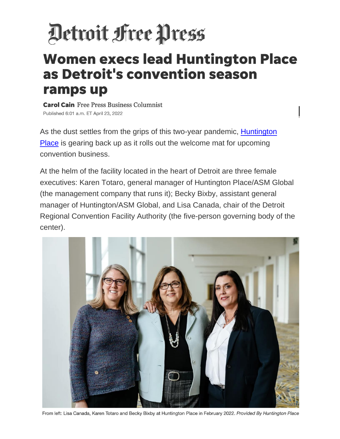## Detroit Free Press

## **Women execs lead Huntington Place** as Detroit's convention season ramps up

**Carol Cain** Free Press Business Columnist Published 6:01 a.m. ET April 23, 2022

As the dust settles from the grips of this two-year pandemic, **Huntington** [Place](https://www.huntingtonplacedetroit.com/planners/submit_rfp?gclid=EAIaIQobChMI8su9sNei9wIVUxmtBh0LUAy3EAAYASAAEgJNMfD_BwE) is gearing back up as it rolls out the welcome mat for upcoming convention business.

At the helm of the facility located in the heart of Detroit are three female executives: Karen Totaro, general manager of Huntington Place/ASM Global (the management company that runs it); Becky Bixby, assistant general manager of Huntington/ASM Global, and Lisa Canada, chair of the Detroit Regional Convention Facility Authority (the five-person governing body of the center).



From left: Lisa Canada, Karen Totaro and Becky Bixby at Huntington Place in February 2022. Provided By Huntington Place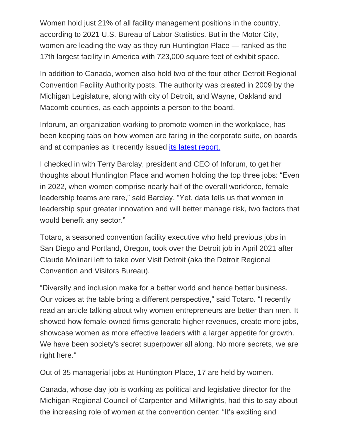Women hold just 21% of all facility management positions in the country, according to 2021 U.S. Bureau of Labor Statistics. But in the Motor City, women are leading the way as they run Huntington Place — ranked as the 17th largest facility in America with 723,000 square feet of exhibit space.

In addition to Canada, women also hold two of the four other Detroit Regional Convention Facility Authority posts. The authority was created in 2009 by the Michigan Legislature, along with city of Detroit, and Wayne, Oakland and Macomb counties, as each appoints a person to the board.

Inforum, an organization working to promote women in the workplace, has been keeping tabs on how women are faring in the corporate suite, on boards and at companies as it recently issued its [latest report.](https://www.freep.com/story/money/business/columnists/carol-cain/2022/01/22/michigan-firms-female-ceo-jobs/6591094001/)) 

I checked in with Terry Barclay, president and CEO of Inforum, to get her thoughts about Huntington Place and women holding the top three jobs: "Even in 2022, when women comprise nearly half of the overall workforce, female leadership teams are rare," said Barclay. "Yet, data tells us that women in leadership spur greater innovation and will better manage risk, two factors that would benefit any sector."

Totaro, a seasoned convention facility executive who held previous jobs in San Diego and Portland, Oregon, took over the Detroit job in April 2021 after Claude Molinari left to take over Visit Detroit (aka the Detroit Regional Convention and Visitors Bureau).

"Diversity and inclusion make for a better world and hence better business. Our voices at the table bring a different perspective," said Totaro. "I recently read an article talking about why women entrepreneurs are better than men. It showed how female-owned firms generate higher revenues, create more jobs, showcase women as more effective leaders with a larger appetite for growth. We have been society's secret superpower all along. No more secrets, we are right here."

Out of 35 managerial jobs at Huntington Place, 17 are held by women.

Canada, whose day job is working as political and legislative director for the Michigan Regional Council of Carpenter and Millwrights, had this to say about the increasing role of women at the convention center: "It's exciting and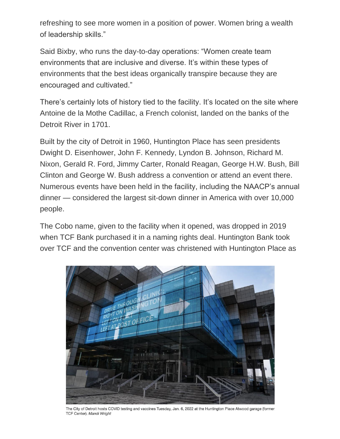refreshing to see more women in a position of power. Women bring a wealth of leadership skills."

Said Bixby, who runs the day-to-day operations: "Women create team environments that are inclusive and diverse. It's within these types of environments that the best ideas organically transpire because they are encouraged and cultivated."

There's certainly lots of history tied to the facility. It's located on the site where Antoine de la Mothe Cadillac, a French colonist, landed on the banks of the Detroit River in 1701.

Built by the city of Detroit in 1960, Huntington Place has seen presidents Dwight D. Eisenhower, John F. Kennedy, Lyndon B. Johnson, Richard M. Nixon, Gerald R. Ford, Jimmy Carter, Ronald Reagan, George H.W. Bush, Bill Clinton and George W. Bush address a convention or attend an event there. Numerous events have been held in the facility, including the NAACP's annual dinner — considered the largest sit-down dinner in America with over 10,000 people.

The Cobo name, given to the facility when it opened, was dropped in 2019 when TCF Bank purchased it in a naming rights deal. Huntington Bank took over TCF and the convention center was christened with Huntington Place as



The City of Detroit hosts COVID testing and vaccines Tuesday, Jan. 6, 2022 at the Huntington Place Atwood garage (former TCF Center). Mandi Wright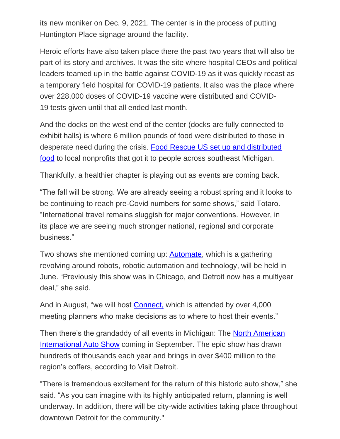its new moniker on Dec. 9, 2021. The center is in the process of putting Huntington Place signage around the facility.

Heroic efforts have also taken place there the past two years that will also be part of its story and archives. It was the site where hospital CEOs and political leaders teamed up in the battle against COVID-19 as it was quickly recast as a temporary field hospital for COVID-19 patients. It also was the place where over 228,000 doses of COVID-19 vaccine were distributed and COVID-19 tests given until that all ended last month.

And the docks on the west end of the center (docks are fully connected to exhibit halls) is where 6 million pounds of food were distributed to those in desperate need during the crisis. [Food Rescue US set up and distributed](https://www.huntingtonplacedetroit.com/blog/detail/tcf-center-becomes-distribution-hub-for-us-food-rescue)  [food](https://www.huntingtonplacedetroit.com/blog/detail/tcf-center-becomes-distribution-hub-for-us-food-rescue) to local nonprofits that got it to people across southeast Michigan.

Thankfully, a healthier chapter is playing out as events are coming back.

"The fall will be strong. We are already seeing a robust spring and it looks to be continuing to reach pre-Covid numbers for some shows," said Totaro. "International travel remains sluggish for major conventions. However, in its place we are seeing much stronger national, regional and corporate business."

Two shows she mentioned coming up: [Automate,](https://www.automateshow.com/?utm_term=automate%20detroit&utm_campaign=Branded+Show&utm_source=adwords&utm_medium=ppc&hsa_acc=4764274990&hsa_cam=15694983575&hsa_grp=130801408319&hsa_ad=571680853126&hsa_src=g&hsa_tgt=aud-1642547302209:kwd-651865927329&hsa_kw=automate%20detroit&hsa_mt=e&hsa_net=adwords&hsa_ver=3&gclid=EAIaIQobChMIqoaUxtai9wIVggnnCh3LkggQEAAYASAAEgKh2PD_BwE) which is a gathering revolving around robots, robotic automation and technology, will be held in June. "Previously this show was in Chicago, and Detroit now has a multiyear deal," she said.

And in August, "we will host [Connect,](https://www.connectmeetings.com/events/) which is attended by over 4,000 meeting planners who make decisions as to where to host their events."

Then there's the grandaddy of all events in Michigan: The [North American](https://naias.com/)  [International Auto Show](https://naias.com/) coming in September. The epic show has drawn hundreds of thousands each year and brings in over \$400 million to the region's coffers, according to Visit Detroit.

"There is tremendous excitement for the return of this historic auto show," she said. "As you can imagine with its highly anticipated return, planning is well underway. In addition, there will be city-wide activities taking place throughout downtown Detroit for the community."